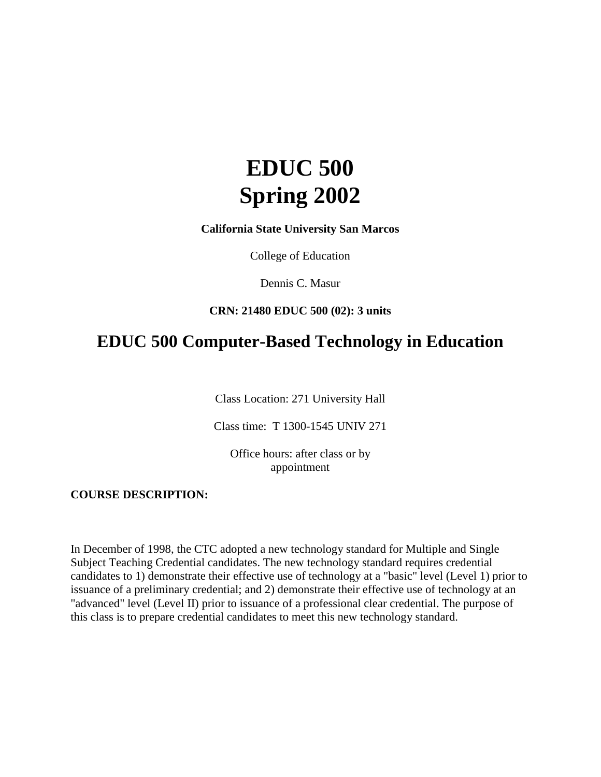# **EDUC 500 Spring 2002**

**California State University San Marcos**

College of Education

Dennis C. Masur

### **CRN: 21480 EDUC 500 (02): 3 units**

# **EDUC 500 Computer-Based Technology in Education**

Class Location: 271 University Hall

Class time: T 1300-1545 UNIV 271

Office hours: after class or by appointment

#### **COURSE DESCRIPTION:**

In December of 1998, the CTC adopted a new technology standard for Multiple and Single Subject Teaching Credential candidates. The new technology standard requires credential candidates to 1) demonstrate their effective use of technology at a "basic" level (Level 1) prior to issuance of a preliminary credential; and 2) demonstrate their effective use of technology at an "advanced" level (Level II) prior to issuance of a professional clear credential. The purpose of this class is to prepare credential candidates to meet this new technology standard.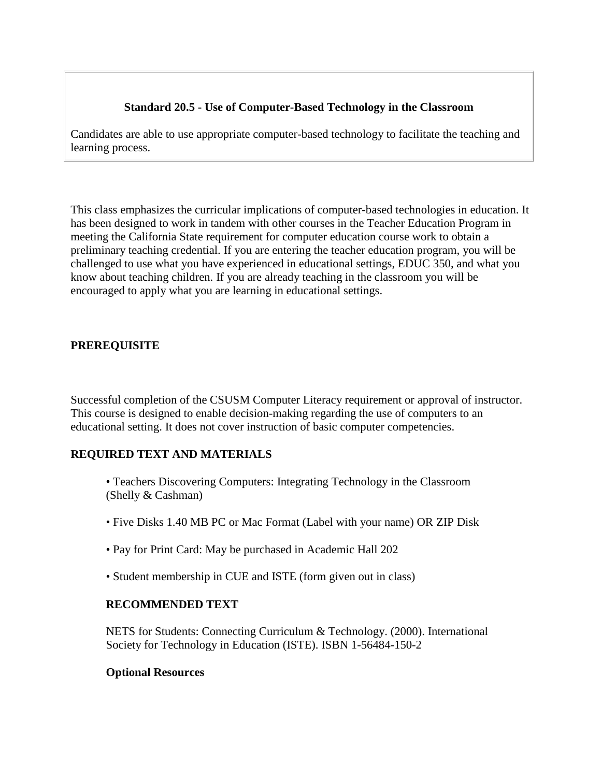# **Standard 20.5 - Use of Computer-Based Technology in the Classroom**

Candidates are able to use appropriate computer-based technology to facilitate the teaching and learning process.

This class emphasizes the curricular implications of computer-based technologies in education. It has been designed to work in tandem with other courses in the Teacher Education Program in meeting the California State requirement for computer education course work to obtain a preliminary teaching credential. If you are entering the teacher education program, you will be challenged to use what you have experienced in educational settings, EDUC 350, and what you know about teaching children. If you are already teaching in the classroom you will be encouraged to apply what you are learning in educational settings.

# **PREREQUISITE**

Successful completion of the CSUSM Computer Literacy requirement or approval of instructor. This course is designed to enable decision-making regarding the use of computers to an educational setting. It does not cover instruction of basic computer competencies.

### **REQUIRED TEXT AND MATERIALS**

- Teachers Discovering Computers: Integrating Technology in the Classroom (Shelly & Cashman)
- Five Disks 1.40 MB PC or Mac Format (Label with your name) OR ZIP Disk
- Pay for Print Card: May be purchased in Academic Hall 202
- Student membership in CUE and ISTE (form given out in class)

### **RECOMMENDED TEXT**

NETS for Students: Connecting Curriculum & Technology. (2000). International Society for Technology in Education (ISTE). ISBN 1-56484-150-2

### **Optional Resources**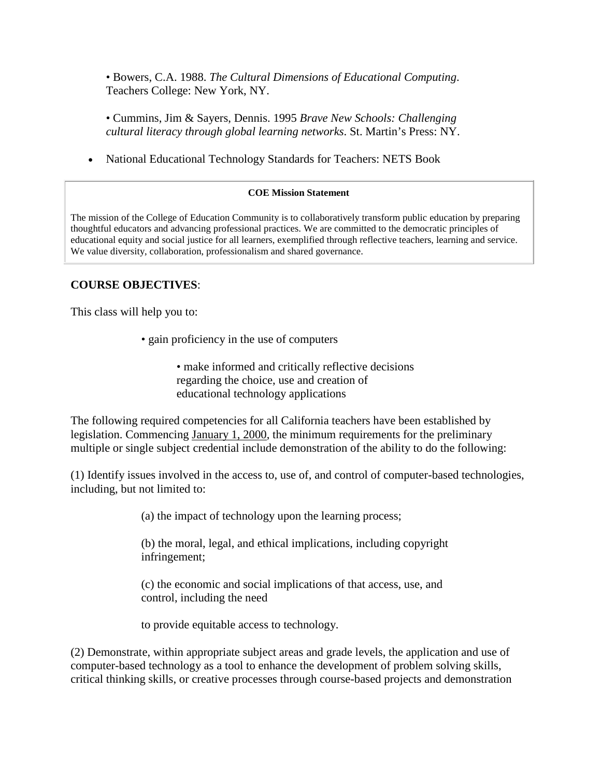• Bowers, C.A. 1988. *The Cultural Dimensions of Educational Computing*. Teachers College: New York, NY.

• Cummins, Jim & Sayers, Dennis. 1995 *Brave New Schools: Challenging cultural literacy through global learning networks*. St. Martin's Press: NY.

• National Educational Technology Standards for Teachers: NETS Book

#### **COE Mission Statement**

The mission of the College of Education Community is to collaboratively transform public education by preparing thoughtful educators and advancing professional practices. We are committed to the democratic principles of educational equity and social justice for all learners, exemplified through reflective teachers, learning and service. We value diversity, collaboration, professionalism and shared governance.

### **COURSE OBJECTIVES**:

This class will help you to:

• gain proficiency in the use of computers

• make informed and critically reflective decisions regarding the choice, use and creation of educational technology applications

The following required competencies for all California teachers have been established by legislation. Commencing January 1, 2000, the minimum requirements for the preliminary multiple or single subject credential include demonstration of the ability to do the following:

(1) Identify issues involved in the access to, use of, and control of computer-based technologies, including, but not limited to:

(a) the impact of technology upon the learning process;

(b) the moral, legal, and ethical implications, including copyright infringement;

(c) the economic and social implications of that access, use, and control, including the need

to provide equitable access to technology.

(2) Demonstrate, within appropriate subject areas and grade levels, the application and use of computer-based technology as a tool to enhance the development of problem solving skills, critical thinking skills, or creative processes through course-based projects and demonstration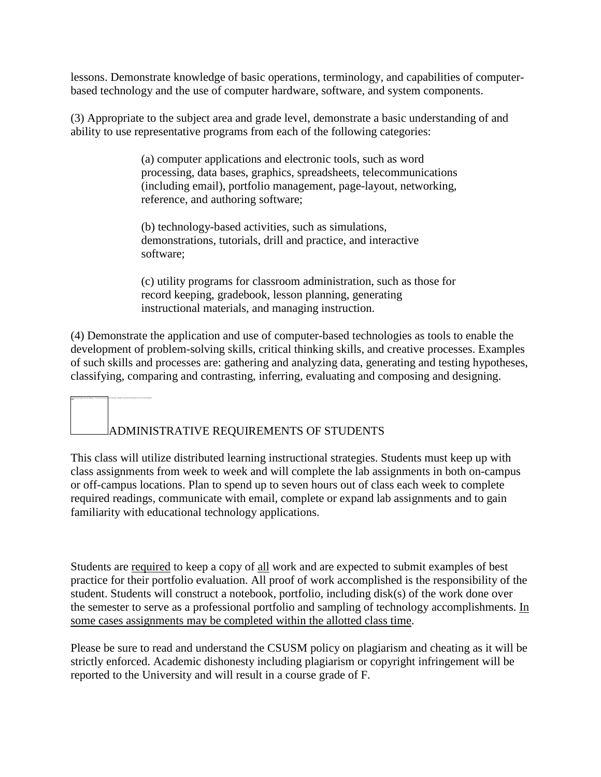lessons. Demonstrate knowledge of basic operations, terminology, and capabilities of computerbased technology and the use of computer hardware, software, and system components.

(3) Appropriate to the subject area and grade level, demonstrate a basic understanding of and ability to use representative programs from each of the following categories:

> (a) computer applications and electronic tools, such as word processing, data bases, graphics, spreadsheets, telecommunications (including email), portfolio management, page-layout, networking, reference, and authoring software;

(b) technology-based activities, such as simulations, demonstrations, tutorials, drill and practice, and interactive software;

(c) utility programs for classroom administration, such as those for record keeping, gradebook, lesson planning, generating instructional materials, and managing instruction.

(4) Demonstrate the application and use of computer-based technologies as tools to enable the development of problem-solving skills, critical thinking skills, and creative processes. Examples of such skills and processes are: gathering and analyzing data, generating and testing hypotheses, classifying, comparing and contrasting, inferring, evaluating and composing and designing.

# ADMINISTRATIVE REQUIREMENTS OF STUDENTS

The linked image cannot be displayed. The file may have been moved, renamed, or deleted. Verify that the link points to the correct file and location.

This class will utilize distributed learning instructional strategies. Students must keep up with class assignments from week to week and will complete the lab assignments in both on-campus or off-campus locations. Plan to spend up to seven hours out of class each week to complete required readings, communicate with email, complete or expand lab assignments and to gain familiarity with educational technology applications.

Students are required to keep a copy of all work and are expected to submit examples of best practice for their portfolio evaluation. All proof of work accomplished is the responsibility of the student. Students will construct a notebook, portfolio, including disk(s) of the work done over the semester to serve as a professional portfolio and sampling of technology accomplishments. In some cases assignments may be completed within the allotted class time.

Please be sure to read and understand the CSUSM policy on plagiarism and cheating as it will be strictly enforced. Academic dishonesty including plagiarism or copyright infringement will be reported to the University and will result in a course grade of F.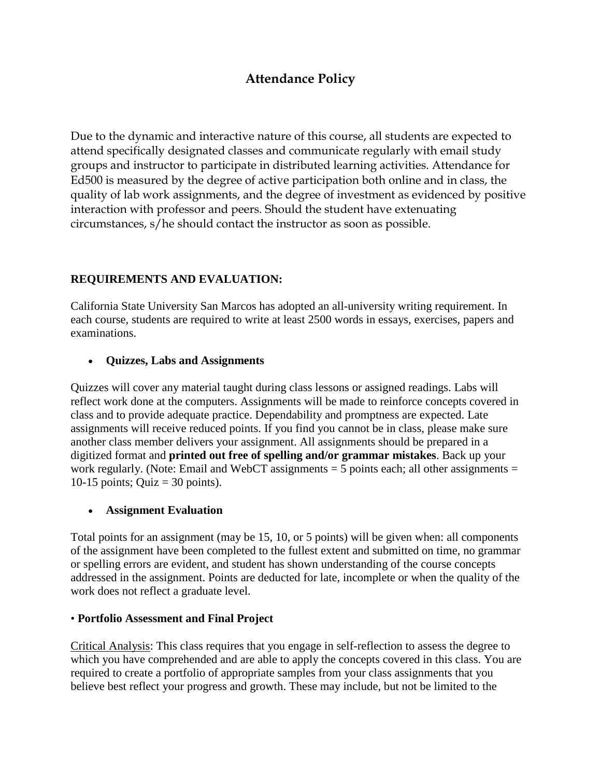# **Attendance Policy**

Due to the dynamic and interactive nature of this course, all students are expected to attend specifically designated classes and communicate regularly with email study groups and instructor to participate in distributed learning activities. Attendance for Ed500 is measured by the degree of active participation both online and in class, the quality of lab work assignments, and the degree of investment as evidenced by positive interaction with professor and peers. Should the student have extenuating circumstances, s/he should contact the instructor as soon as possible.

# **REQUIREMENTS AND EVALUATION:**

California State University San Marcos has adopted an all-university writing requirement. In each course, students are required to write at least 2500 words in essays, exercises, papers and examinations.

### • **Quizzes, Labs and Assignments**

Quizzes will cover any material taught during class lessons or assigned readings. Labs will reflect work done at the computers. Assignments will be made to reinforce concepts covered in class and to provide adequate practice. Dependability and promptness are expected. Late assignments will receive reduced points. If you find you cannot be in class, please make sure another class member delivers your assignment. All assignments should be prepared in a digitized format and **printed out free of spelling and/or grammar mistakes**. Back up your work regularly. (Note: Email and WebCT assignments  $=$  5 points each; all other assignments  $=$ 10-15 points; Quiz = 30 points).

### • **Assignment Evaluation**

Total points for an assignment (may be 15, 10, or 5 points) will be given when: all components of the assignment have been completed to the fullest extent and submitted on time, no grammar or spelling errors are evident, and student has shown understanding of the course concepts addressed in the assignment. Points are deducted for late, incomplete or when the quality of the work does not reflect a graduate level.

### • **Portfolio Assessment and Final Project**

Critical Analysis: This class requires that you engage in self-reflection to assess the degree to which you have comprehended and are able to apply the concepts covered in this class. You are required to create a portfolio of appropriate samples from your class assignments that you believe best reflect your progress and growth. These may include, but not be limited to the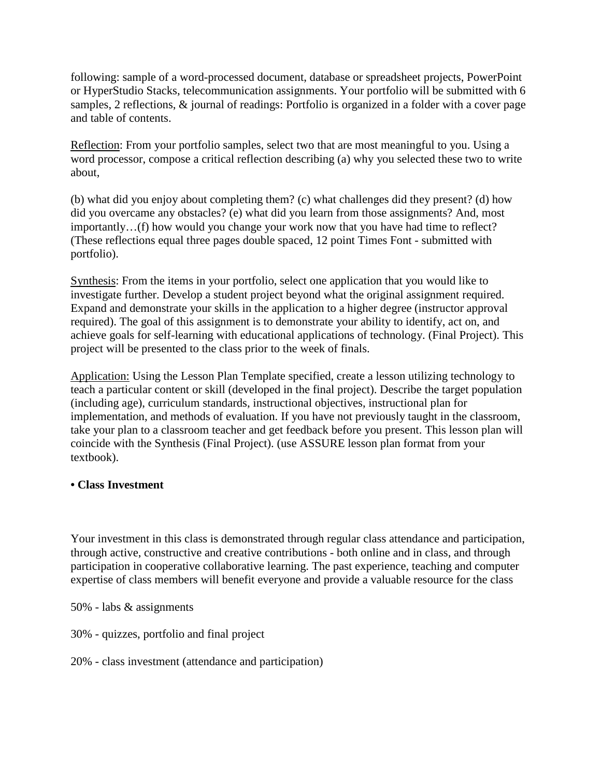following: sample of a word-processed document, database or spreadsheet projects, PowerPoint or HyperStudio Stacks, telecommunication assignments. Your portfolio will be submitted with 6 samples, 2 reflections, & journal of readings: Portfolio is organized in a folder with a cover page and table of contents.

Reflection: From your portfolio samples, select two that are most meaningful to you. Using a word processor, compose a critical reflection describing (a) why you selected these two to write about,

(b) what did you enjoy about completing them? (c) what challenges did they present? (d) how did you overcame any obstacles? (e) what did you learn from those assignments? And, most importantly…(f) how would you change your work now that you have had time to reflect? (These reflections equal three pages double spaced, 12 point Times Font - submitted with portfolio).

Synthesis: From the items in your portfolio, select one application that you would like to investigate further. Develop a student project beyond what the original assignment required. Expand and demonstrate your skills in the application to a higher degree (instructor approval required). The goal of this assignment is to demonstrate your ability to identify, act on, and achieve goals for self-learning with educational applications of technology. (Final Project). This project will be presented to the class prior to the week of finals.

Application: Using the Lesson Plan Template specified, create a lesson utilizing technology to teach a particular content or skill (developed in the final project). Describe the target population (including age), curriculum standards, instructional objectives, instructional plan for implementation, and methods of evaluation. If you have not previously taught in the classroom, take your plan to a classroom teacher and get feedback before you present. This lesson plan will coincide with the Synthesis (Final Project). (use ASSURE lesson plan format from your textbook).

### **• Class Investment**

Your investment in this class is demonstrated through regular class attendance and participation, through active, constructive and creative contributions - both online and in class, and through participation in cooperative collaborative learning. The past experience, teaching and computer expertise of class members will benefit everyone and provide a valuable resource for the class

50% - labs & assignments

30% - quizzes, portfolio and final project

20% - class investment (attendance and participation)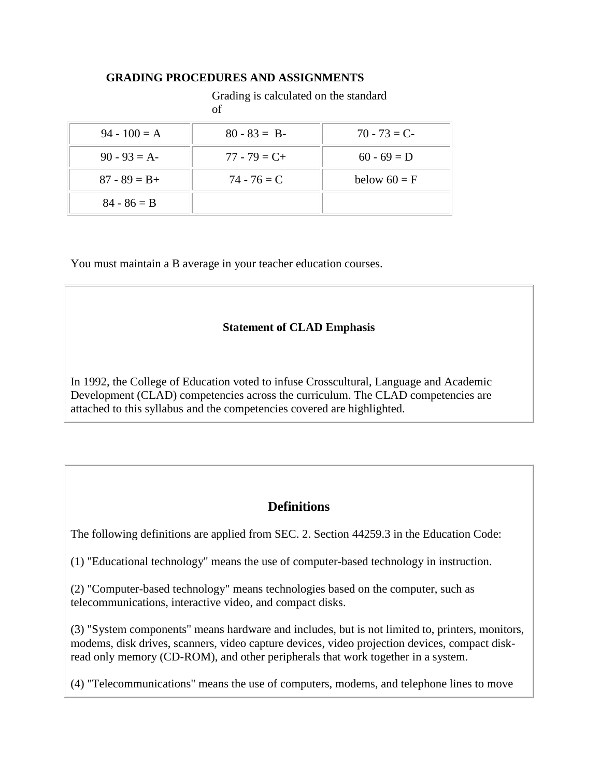### **GRADING PROCEDURES AND ASSIGNMENTS**

### Grading is calculated on the standard

#### of

| $94 - 100 = A$  | $80 - 83 = B$   | $70 - 73 = C$  |
|-----------------|-----------------|----------------|
| $90 - 93 = A$   | $77 - 79 = C +$ | $60 - 69 = D$  |
| $87 - 89 = B +$ | $74 - 76 = C$   | below $60 = F$ |
| $84 - 86 = B$   |                 |                |

You must maintain a B average in your teacher education courses.

### **Statement of CLAD Emphasis**

In 1992, the College of Education voted to infuse Crosscultural, Language and Academic Development (CLAD) competencies across the curriculum. The CLAD competencies are attached to this syllabus and the competencies covered are highlighted.

# **Definitions**

The following definitions are applied from SEC. 2. Section 44259.3 in the Education Code:

(1) "Educational technology" means the use of computer-based technology in instruction.

(2) "Computer-based technology" means technologies based on the computer, such as telecommunications, interactive video, and compact disks.

(3) "System components" means hardware and includes, but is not limited to, printers, monitors, modems, disk drives, scanners, video capture devices, video projection devices, compact diskread only memory (CD-ROM), and other peripherals that work together in a system.

(4) "Telecommunications" means the use of computers, modems, and telephone lines to move